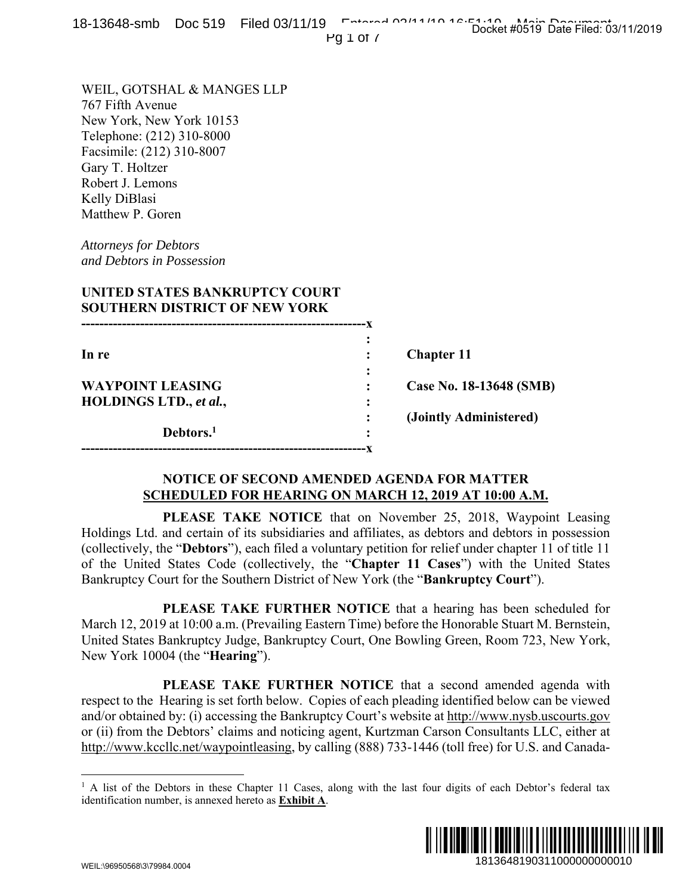| 0-19040-91110 DOC 919 THEO OS/11/19                                                                                                                                                                                                                                                                                                                     |                       | Pg $1$ of $\prime$ |                                                                                                                                                                                                                                                                                                                                                                                                                                                                                                                                                                                                                                                                                                                                          | Docket #0519 Date Filed: 03/11/2019 |  |
|---------------------------------------------------------------------------------------------------------------------------------------------------------------------------------------------------------------------------------------------------------------------------------------------------------------------------------------------------------|-----------------------|--------------------|------------------------------------------------------------------------------------------------------------------------------------------------------------------------------------------------------------------------------------------------------------------------------------------------------------------------------------------------------------------------------------------------------------------------------------------------------------------------------------------------------------------------------------------------------------------------------------------------------------------------------------------------------------------------------------------------------------------------------------------|-------------------------------------|--|
| WEIL, GOTSHAL & MANGES LLP<br>767 Fifth Avenue<br>New York, New York 10153<br>Telephone: (212) 310-8000<br>Facsimile: (212) 310-8007<br>Gary T. Holtzer<br>Robert J. Lemons<br>Kelly DiBlasi<br>Matthew P. Goren<br><b>Attorneys for Debtors</b><br>and Debtors in Possession<br>UNITED STATES BANKRUPTCY COURT<br><b>SOUTHERN DISTRICT OF NEW YORK</b> |                       |                    |                                                                                                                                                                                                                                                                                                                                                                                                                                                                                                                                                                                                                                                                                                                                          |                                     |  |
|                                                                                                                                                                                                                                                                                                                                                         |                       |                    |                                                                                                                                                                                                                                                                                                                                                                                                                                                                                                                                                                                                                                                                                                                                          |                                     |  |
| In re                                                                                                                                                                                                                                                                                                                                                   |                       |                    | <b>Chapter 11</b>                                                                                                                                                                                                                                                                                                                                                                                                                                                                                                                                                                                                                                                                                                                        |                                     |  |
| <b>WAYPOINT LEASING</b>                                                                                                                                                                                                                                                                                                                                 |                       |                    | Case No. 18-13648 (SMB)                                                                                                                                                                                                                                                                                                                                                                                                                                                                                                                                                                                                                                                                                                                  |                                     |  |
| HOLDINGS LTD., et al.,                                                                                                                                                                                                                                                                                                                                  | Debtors. <sup>1</sup> |                    | (Jointly Administered)                                                                                                                                                                                                                                                                                                                                                                                                                                                                                                                                                                                                                                                                                                                   |                                     |  |
|                                                                                                                                                                                                                                                                                                                                                         |                       |                    | NOTICE OF SECOND AMENDED AGENDA FOR MATTER<br><b>SCHEDULED FOR HEARING ON MARCH 12, 2019 AT 10:00 A.M.</b>                                                                                                                                                                                                                                                                                                                                                                                                                                                                                                                                                                                                                               |                                     |  |
| New York 10004 (the " <b>Hearing</b> ").                                                                                                                                                                                                                                                                                                                |                       |                    | <b>PLEASE TAKE NOTICE</b> that on November 25, 2018, Waypoint Leasing<br>Holdings Ltd. and certain of its subsidiaries and affiliates, as debtors and debtors in possession<br>(collectively, the "Debtors"), each filed a voluntary petition for relief under chapter 11 of title 11<br>of the United States Code (collectively, the "Chapter 11 Cases") with the United States<br>Bankruptcy Court for the Southern District of New York (the "Bankruptcy Court").<br>PLEASE TAKE FURTHER NOTICE that a hearing has been scheduled for<br>March 12, 2019 at 10:00 a.m. (Prevailing Eastern Time) before the Honorable Stuart M. Bernstein,<br>United States Bankruptcy Judge, Bankruptcy Court, One Bowling Green, Room 723, New York, |                                     |  |
|                                                                                                                                                                                                                                                                                                                                                         |                       |                    | PLEASE TAKE FURTHER NOTICE that a second amended agenda with<br>respect to the Hearing is set forth below. Copies of each pleading identified below can be viewed<br>and/or obtained by: (i) accessing the Bankruptcy Court's website at http://www.nysb.uscourts.gov<br>or (ii) from the Debtors' claims and noticing agent, Kurtzman Carson Consultants LLC, either at<br>http://www.kccllc.net/waypointleasing, by calling (888) 733-1446 (toll free) for U.S. and Canada-                                                                                                                                                                                                                                                            |                                     |  |
| identification number, is annexed hereto as <b>Exhibit A</b> .                                                                                                                                                                                                                                                                                          |                       |                    | <sup>1</sup> A list of the Debtors in these Chapter 11 Cases, along with the last four digits of each Debtor's federal tax                                                                                                                                                                                                                                                                                                                                                                                                                                                                                                                                                                                                               |                                     |  |
| WEIL:\QGQ50568\3\7QQ84.0004                                                                                                                                                                                                                                                                                                                             |                       |                    |                                                                                                                                                                                                                                                                                                                                                                                                                                                                                                                                                                                                                                                                                                                                          | 1813648190311000000000010           |  |

## **NOTICE OF SECOND AMENDED AGENDA FOR MATTER SCHEDULED FOR HEARING ON MARCH 12, 2019 AT 10:00 A.M.**

<sup>&</sup>lt;sup>1</sup> A list of the Debtors in these Chapter 11 Cases, along with the last four digits of each Debtor's federal tax identification number, is annexed hereto as **Exhibit A**.

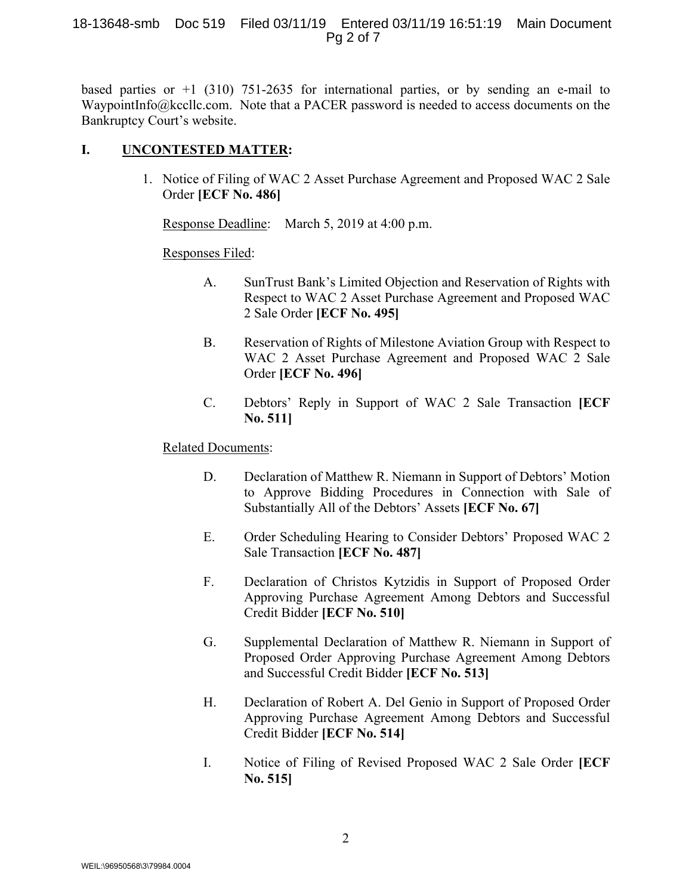#### 18-13648-smb Doc 519 Filed 03/11/19 Entered 03/11/19 16:51:19 Main Document Pg 2 of 7

based parties or  $+1$  (310) 751-2635 for international parties, or by sending an e-mail to WaypointInfo@kccllc.com. Note that a PACER password is needed to access documents on the Bankruptcy Court's website.

#### **I. UNCONTESTED MATTER:**

1. Notice of Filing of WAC 2 Asset Purchase Agreement and Proposed WAC 2 Sale Order **[ECF No. 486]**

Response Deadline: March 5, 2019 at 4:00 p.m.

#### Responses Filed:

- A. SunTrust Bank's Limited Objection and Reservation of Rights with Respect to WAC 2 Asset Purchase Agreement and Proposed WAC 2 Sale Order **[ECF No. 495]**
- B. Reservation of Rights of Milestone Aviation Group with Respect to WAC 2 Asset Purchase Agreement and Proposed WAC 2 Sale Order **[ECF No. 496]**
- C. Debtors' Reply in Support of WAC 2 Sale Transaction **[ECF No. 511]**

## Related Documents:

- D. Declaration of Matthew R. Niemann in Support of Debtors' Motion to Approve Bidding Procedures in Connection with Sale of Substantially All of the Debtors' Assets **[ECF No. 67]**
- E. Order Scheduling Hearing to Consider Debtors' Proposed WAC 2 Sale Transaction **[ECF No. 487]**
- F. Declaration of Christos Kytzidis in Support of Proposed Order Approving Purchase Agreement Among Debtors and Successful Credit Bidder **[ECF No. 510]**
- G. Supplemental Declaration of Matthew R. Niemann in Support of Proposed Order Approving Purchase Agreement Among Debtors and Successful Credit Bidder **[ECF No. 513]**
- H. Declaration of Robert A. Del Genio in Support of Proposed Order Approving Purchase Agreement Among Debtors and Successful Credit Bidder **[ECF No. 514]**
- I. Notice of Filing of Revised Proposed WAC 2 Sale Order **[ECF No. 515]**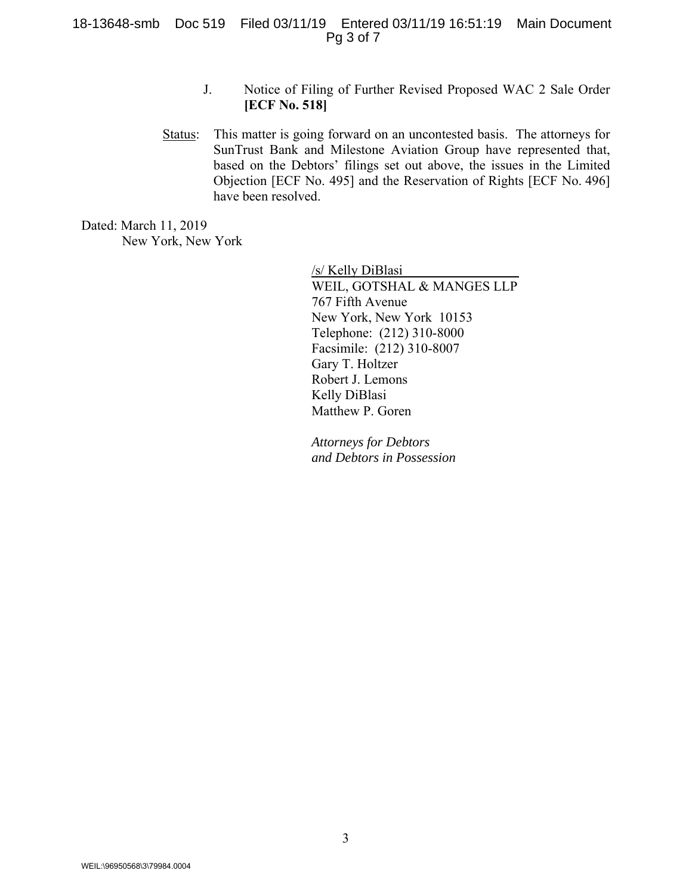- J. Notice of Filing of Further Revised Proposed WAC 2 Sale Order **[ECF No. 518]**
- Status: This matter is going forward on an uncontested basis. The attorneys for SunTrust Bank and Milestone Aviation Group have represented that, based on the Debtors' filings set out above, the issues in the Limited Objection [ECF No. 495] and the Reservation of Rights [ECF No. 496] have been resolved.

Dated: March 11, 2019 New York, New York

> /s/ Kelly DiBlasi WEIL, GOTSHAL & MANGES LLP 767 Fifth Avenue New York, New York 10153 Telephone: (212) 310-8000 Facsimile: (212) 310-8007 Gary T. Holtzer Robert J. Lemons Kelly DiBlasi Matthew P. Goren

*Attorneys for Debtors and Debtors in Possession*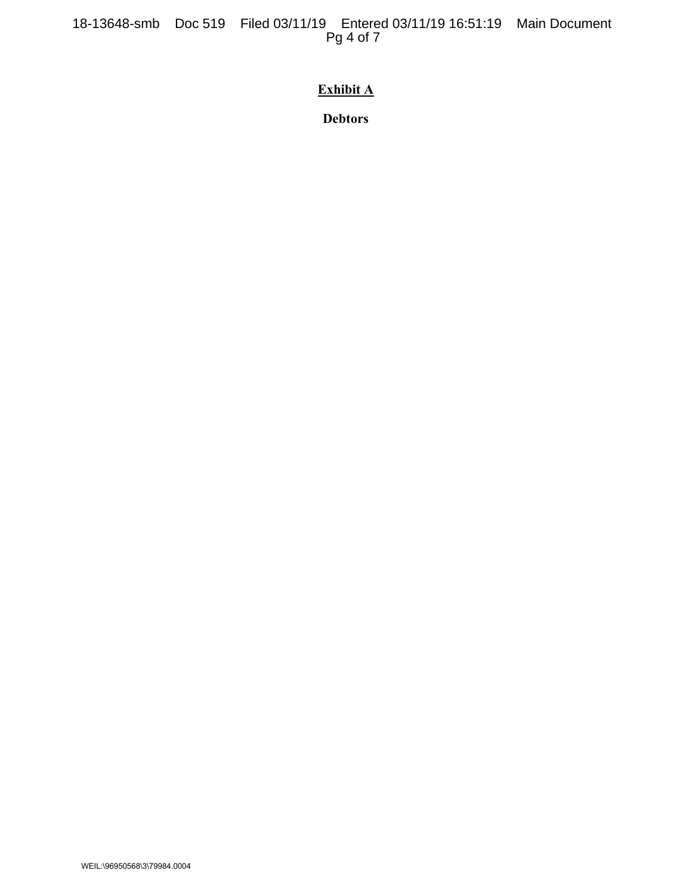# **Exhibit A**

**Debtors**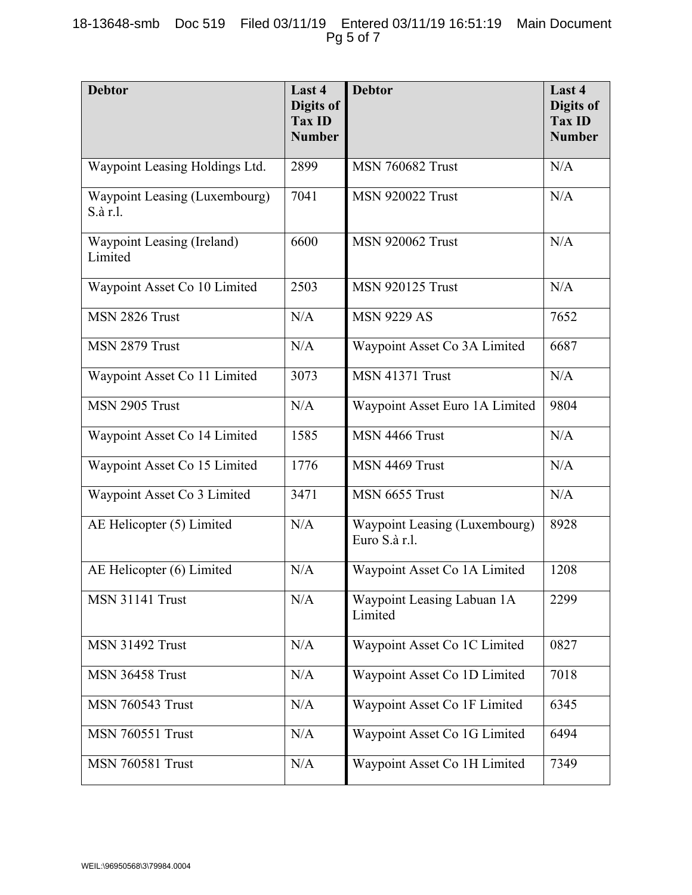| <b>Debtor</b>                             | Last 4<br>Digits of<br><b>Tax ID</b><br><b>Number</b> | <b>Debtor</b>                                  | Last 4<br>Digits of<br><b>Tax ID</b><br><b>Number</b> |
|-------------------------------------------|-------------------------------------------------------|------------------------------------------------|-------------------------------------------------------|
| Waypoint Leasing Holdings Ltd.            | 2899                                                  | <b>MSN 760682 Trust</b>                        | N/A                                                   |
| Waypoint Leasing (Luxembourg)<br>S.à r.l. | 7041                                                  | <b>MSN 920022 Trust</b>                        | N/A                                                   |
| Waypoint Leasing (Ireland)<br>Limited     | 6600                                                  | <b>MSN 920062 Trust</b>                        | N/A                                                   |
| Waypoint Asset Co 10 Limited              | 2503                                                  | <b>MSN 920125 Trust</b>                        | N/A                                                   |
| MSN 2826 Trust                            | N/A                                                   | <b>MSN 9229 AS</b>                             | 7652                                                  |
| MSN 2879 Trust                            | N/A                                                   | Waypoint Asset Co 3A Limited                   | 6687                                                  |
| Waypoint Asset Co 11 Limited              | 3073                                                  | <b>MSN 41371 Trust</b>                         | N/A                                                   |
| MSN 2905 Trust                            | N/A                                                   | Waypoint Asset Euro 1A Limited                 | 9804                                                  |
| Waypoint Asset Co 14 Limited              | 1585                                                  | MSN 4466 Trust                                 | N/A                                                   |
| Waypoint Asset Co 15 Limited              | 1776                                                  | MSN 4469 Trust                                 | N/A                                                   |
| Waypoint Asset Co 3 Limited               | 3471                                                  | MSN 6655 Trust                                 | N/A                                                   |
| AE Helicopter (5) Limited                 | N/A                                                   | Waypoint Leasing (Luxembourg)<br>Euro S.à r.l. | 8928                                                  |
| AE Helicopter (6) Limited                 | N/A                                                   | Waypoint Asset Co 1A Limited                   | 1208                                                  |
| <b>MSN 31141 Trust</b>                    | N/A                                                   | Waypoint Leasing Labuan 1A<br>Limited          | 2299                                                  |
| <b>MSN 31492 Trust</b>                    | N/A                                                   | Waypoint Asset Co 1C Limited                   | 0827                                                  |
| <b>MSN 36458 Trust</b>                    | N/A                                                   | Waypoint Asset Co 1D Limited                   | 7018                                                  |
| <b>MSN 760543 Trust</b>                   | N/A                                                   | Waypoint Asset Co 1F Limited                   | 6345                                                  |
| <b>MSN 760551 Trust</b>                   | N/A                                                   | Waypoint Asset Co 1G Limited                   | 6494                                                  |
| <b>MSN 760581 Trust</b>                   | N/A                                                   | Waypoint Asset Co 1H Limited                   | 7349                                                  |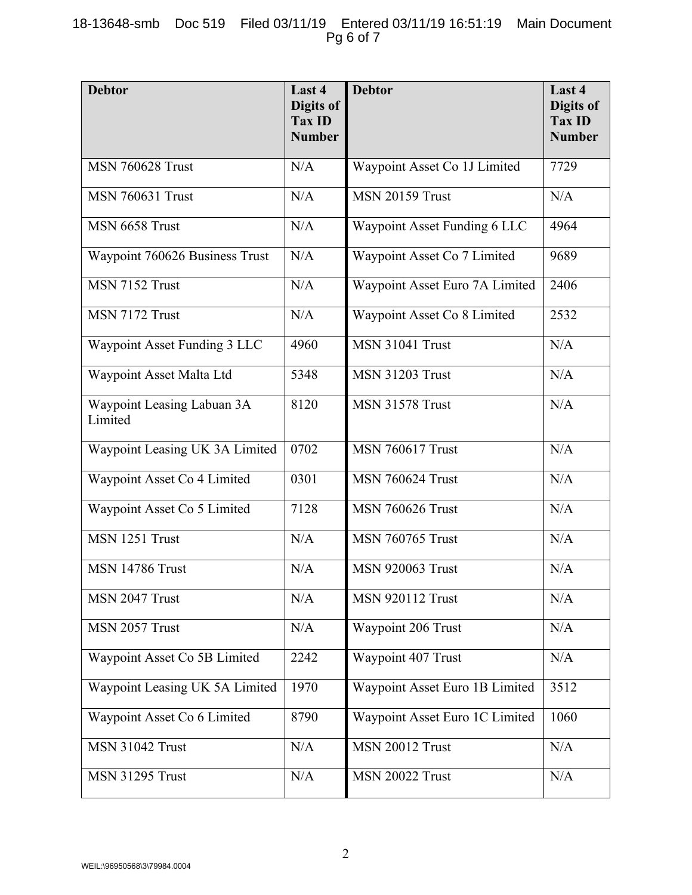## 18-13648-smb Doc 519 Filed 03/11/19 Entered 03/11/19 16:51:19 Main Document Pg 6 of 7

| <b>Debtor</b>                         | Last 4<br>Digits of<br><b>Tax ID</b><br><b>Number</b> | <b>Debtor</b>                  | Last 4<br>Digits of<br><b>Tax ID</b><br><b>Number</b> |
|---------------------------------------|-------------------------------------------------------|--------------------------------|-------------------------------------------------------|
| <b>MSN 760628 Trust</b>               | N/A                                                   | Waypoint Asset Co 1J Limited   | 7729                                                  |
| <b>MSN 760631 Trust</b>               | N/A                                                   | <b>MSN 20159 Trust</b>         | N/A                                                   |
| MSN 6658 Trust                        | N/A                                                   | Waypoint Asset Funding 6 LLC   | 4964                                                  |
| Waypoint 760626 Business Trust        | N/A                                                   | Waypoint Asset Co 7 Limited    | 9689                                                  |
| MSN 7152 Trust                        | N/A                                                   | Waypoint Asset Euro 7A Limited | 2406                                                  |
| MSN 7172 Trust                        | N/A                                                   | Waypoint Asset Co 8 Limited    | 2532                                                  |
| Waypoint Asset Funding 3 LLC          | 4960                                                  | <b>MSN 31041 Trust</b>         | N/A                                                   |
| Waypoint Asset Malta Ltd              | 5348                                                  | <b>MSN 31203 Trust</b>         | N/A                                                   |
| Waypoint Leasing Labuan 3A<br>Limited | 8120                                                  | <b>MSN 31578 Trust</b>         | N/A                                                   |
| Waypoint Leasing UK 3A Limited        | 0702                                                  | <b>MSN 760617 Trust</b>        | N/A                                                   |
| Waypoint Asset Co 4 Limited           | 0301                                                  | <b>MSN 760624 Trust</b>        | N/A                                                   |
| Waypoint Asset Co 5 Limited           | 7128                                                  | <b>MSN 760626 Trust</b>        | N/A                                                   |
| MSN 1251 Trust                        | N/A                                                   | <b>MSN 760765 Trust</b>        | N/A                                                   |
| <b>MSN 14786 Trust</b>                | N/A                                                   | <b>MSN 920063 Trust</b>        | N/A                                                   |
| MSN 2047 Trust                        | N/A                                                   | <b>MSN 920112 Trust</b>        | N/A                                                   |
| MSN 2057 Trust                        | N/A                                                   | Waypoint 206 Trust             | N/A                                                   |
| Waypoint Asset Co 5B Limited          | 2242                                                  | Waypoint 407 Trust             | N/A                                                   |
| Waypoint Leasing UK 5A Limited        | 1970                                                  | Waypoint Asset Euro 1B Limited | 3512                                                  |
| Waypoint Asset Co 6 Limited           | 8790                                                  | Waypoint Asset Euro 1C Limited | 1060                                                  |
| <b>MSN 31042 Trust</b>                | N/A                                                   | <b>MSN 20012 Trust</b>         | N/A                                                   |
| <b>MSN 31295 Trust</b>                | N/A                                                   | <b>MSN 20022 Trust</b>         | N/A                                                   |